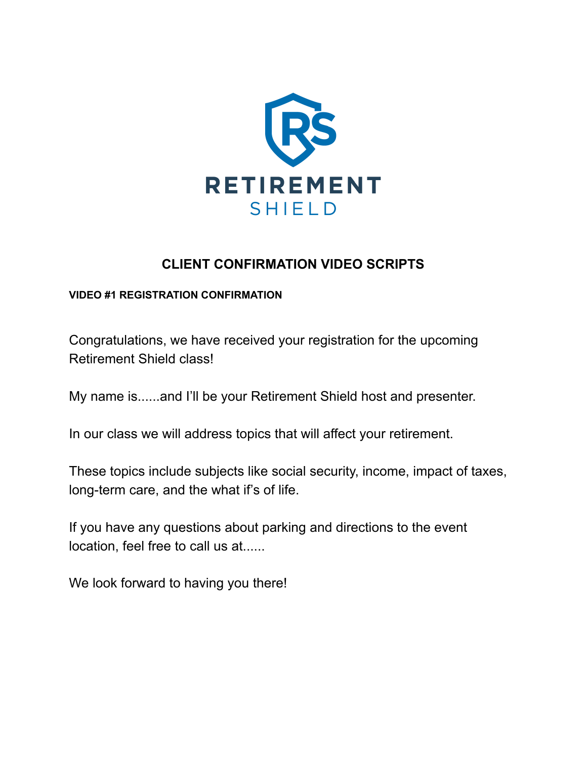

# **CLIENT CONFIRMATION VIDEO SCRIPTS**

#### **VIDEO #1 REGISTRATION CONFIRMATION**

Congratulations, we have received your registration for the upcoming Retirement Shield class!

My name is......and I'll be your Retirement Shield host and presenter.

In our class we will address topics that will affect your retirement.

These topics include subjects like social security, income, impact of taxes, long-term care, and the what if's of life.

If you have any questions about parking and directions to the event location, feel free to call us at......

We look forward to having you there!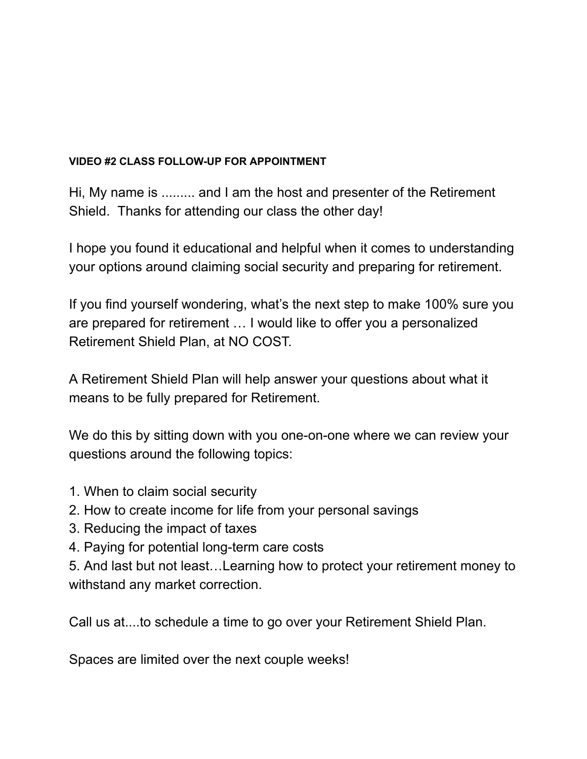### **VIDEO #2 CLASS FOLLOW-UP FOR APPOINTMENT**

Hi, My name is ......... and I am the host and presenter of the Retirement Shield. Thanks for attending our class the other day!

I hope you found it educational and helpful when it comes to understanding your options around claiming social security and preparing for retirement.

If you find yourself wondering, what's the next step to make 100% sure you are prepared for retirement … I would like to offer you a personalized Retirement Shield Plan, at NO COST.

A Retirement Shield Plan will help answer your questions about what it means to be fully prepared for Retirement.

We do this by sitting down with you one-on-one where we can review your questions around the following topics:

- 1. When to claim social security
- 2. How to create income for life from your personal savings
- 3. Reducing the impact of taxes
- 4. Paying for potential long-term care costs

5. And last but not least…Learning how to protect your retirement money to withstand any market correction.

Call us at....to schedule a time to go over your Retirement Shield Plan.

Spaces are limited over the next couple weeks!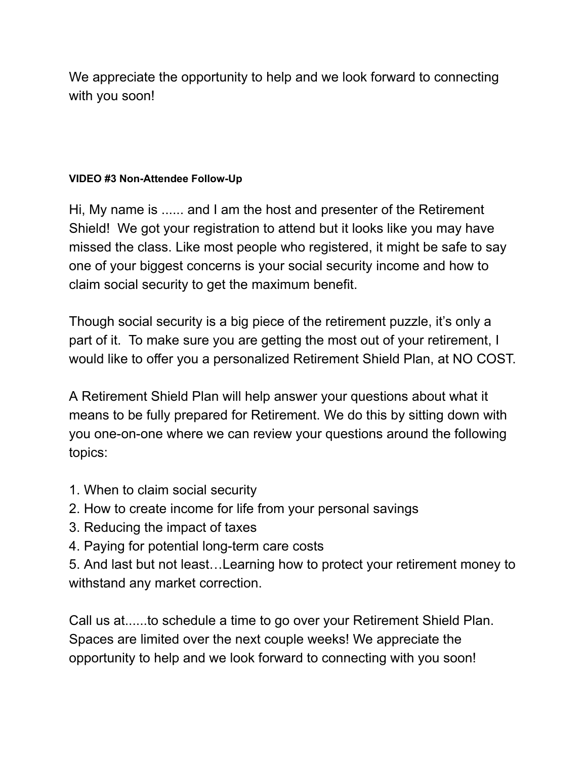We appreciate the opportunity to help and we look forward to connecting with you soon!

## **VIDEO #3 Non-Attendee Follow-Up**

Hi, My name is ...... and I am the host and presenter of the Retirement Shield! We got your registration to attend but it looks like you may have missed the class. Like most people who registered, it might be safe to say one of your biggest concerns is your social security income and how to claim social security to get the maximum benefit.

Though social security is a big piece of the retirement puzzle, it's only a part of it. To make sure you are getting the most out of your retirement, I would like to offer you a personalized Retirement Shield Plan, at NO COST.

A Retirement Shield Plan will help answer your questions about what it means to be fully prepared for Retirement. We do this by sitting down with you one-on-one where we can review your questions around the following topics:

- 1. When to claim social security
- 2. How to create income for life from your personal savings
- 3. Reducing the impact of taxes
- 4. Paying for potential long-term care costs

5. And last but not least…Learning how to protect your retirement money to withstand any market correction.

Call us at......to schedule a time to go over your Retirement Shield Plan. Spaces are limited over the next couple weeks! We appreciate the opportunity to help and we look forward to connecting with you soon!